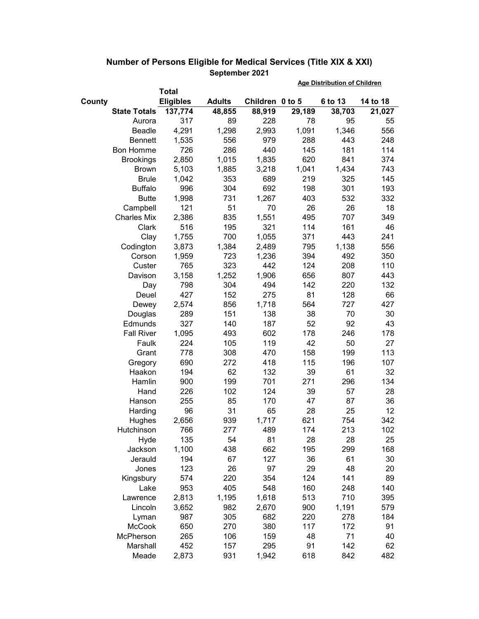|        |                     |                  |               |                 | <b>Age Distribution of Children</b> |         |          |  |
|--------|---------------------|------------------|---------------|-----------------|-------------------------------------|---------|----------|--|
|        |                     | <b>Total</b>     |               |                 |                                     |         |          |  |
| County |                     | <b>Eligibles</b> | <b>Adults</b> | Children 0 to 5 |                                     | 6 to 13 | 14 to 18 |  |
|        | <b>State Totals</b> | 137,774          | 48,855        | 88,919          | 29,189                              | 38,703  | 21,027   |  |
|        | Aurora              | 317              | 89            | 228             | 78                                  | 95      | 55       |  |
|        | Beadle              | 4,291            | 1,298         | 2,993           | 1,091                               | 1,346   | 556      |  |
|        | <b>Bennett</b>      | 1,535            | 556           | 979             | 288                                 | 443     | 248      |  |
|        | <b>Bon Homme</b>    | 726              | 286           | 440             | 145                                 | 181     | 114      |  |
|        | <b>Brookings</b>    | 2,850            | 1,015         | 1,835           | 620                                 | 841     | 374      |  |
|        | <b>Brown</b>        | 5,103            | 1,885         | 3,218           | 1,041                               | 1,434   | 743      |  |
|        | <b>Brule</b>        | 1,042            | 353           | 689             | 219                                 | 325     | 145      |  |
|        | <b>Buffalo</b>      | 996              | 304           | 692             | 198                                 | 301     | 193      |  |
|        | <b>Butte</b>        | 1,998            | 731           | 1,267           | 403                                 | 532     | 332      |  |
|        | Campbell            | 121              | 51            | 70              | 26                                  | 26      | 18       |  |
|        | <b>Charles Mix</b>  | 2,386            | 835           | 1,551           | 495                                 | 707     | 349      |  |
|        | Clark               | 516              | 195           | 321             | 114                                 | 161     | 46       |  |
|        | Clay                | 1,755            | 700           | 1,055           | 371                                 | 443     | 241      |  |
|        | Codington           | 3,873            | 1,384         | 2,489           | 795                                 | 1,138   | 556      |  |
|        | Corson              | 1,959            | 723           | 1,236           | 394                                 | 492     | 350      |  |
|        | Custer              | 765              | 323           | 442             | 124                                 | 208     | 110      |  |
|        | Davison             | 3,158            | 1,252         | 1,906           | 656                                 | 807     | 443      |  |
|        | Day                 | 798              | 304           | 494             | 142                                 | 220     | 132      |  |
|        | Deuel               | 427              | 152           | 275             | 81                                  | 128     | 66       |  |
|        | Dewey               | 2,574            | 856           | 1,718           | 564                                 | 727     | 427      |  |
|        | Douglas             | 289              | 151           | 138             | 38                                  | 70      | 30       |  |
|        | Edmunds             | 327              | 140           | 187             | 52                                  | 92      | 43       |  |
|        | <b>Fall River</b>   | 1,095            | 493           | 602             | 178                                 | 246     | 178      |  |
|        | Faulk               | 224              | 105           | 119             | 42                                  | 50      | 27       |  |
|        | Grant               | 778              | 308           | 470             | 158                                 | 199     | 113      |  |
|        | Gregory             | 690              | 272           | 418             | 115                                 | 196     | 107      |  |
|        | Haakon              | 194              | 62            | 132             | 39                                  | 61      | 32       |  |
|        | Hamlin              | 900              | 199           | 701             | 271                                 | 296     | 134      |  |
|        | Hand                | 226              | 102           | 124             | 39                                  | 57      | 28       |  |
|        | Hanson              | 255              | 85            | 170             | 47                                  | 87      | 36       |  |
|        | Harding             | 96               | 31            | 65              | 28                                  | 25      | 12       |  |
|        | Hughes              | 2,656            | 939           | 1,717           | 621                                 | 754     | 342      |  |
|        | Hutchinson          | 766              | 277           | 489             | 174                                 | 213     | 102      |  |
|        | Hyde                | 135              | 54            | 81              | 28                                  | 28      | 25       |  |
|        | Jackson             | 1,100            | 438           | 662             | 195                                 | 299     | 168      |  |
|        | Jerauld             | 194              | 67            | 127             | 36                                  | 61      | 30       |  |
|        | Jones               | 123              | 26            | 97              | 29                                  | 48      | 20       |  |
|        | Kingsbury           | 574              | 220           | 354             | 124                                 | 141     | 89       |  |
|        | Lake                | 953              | 405           | 548             | 160                                 | 248     | 140      |  |
|        | Lawrence            | 2,813            | 1,195         | 1,618           | 513                                 | 710     | 395      |  |
|        | Lincoln             | 3,652            | 982           | 2,670           | 900                                 | 1,191   | 579      |  |
|        | Lyman               | 987              | 305           | 682             | 220                                 | 278     | 184      |  |
|        | McCook              | 650              | 270           | 380             | 117                                 | 172     | 91       |  |
|        | McPherson           | 265              | 106           | 159             | 48                                  | 71      | 40       |  |
|        | Marshall            | 452              | 157           | 295             | 91                                  | 142     | 62       |  |
|        | Meade               | 2,873            | 931           | 1,942           | 618                                 | 842     | 482      |  |

## **Number of Persons Eligible for Medical Services (Title XIX & XXI) September 2021**